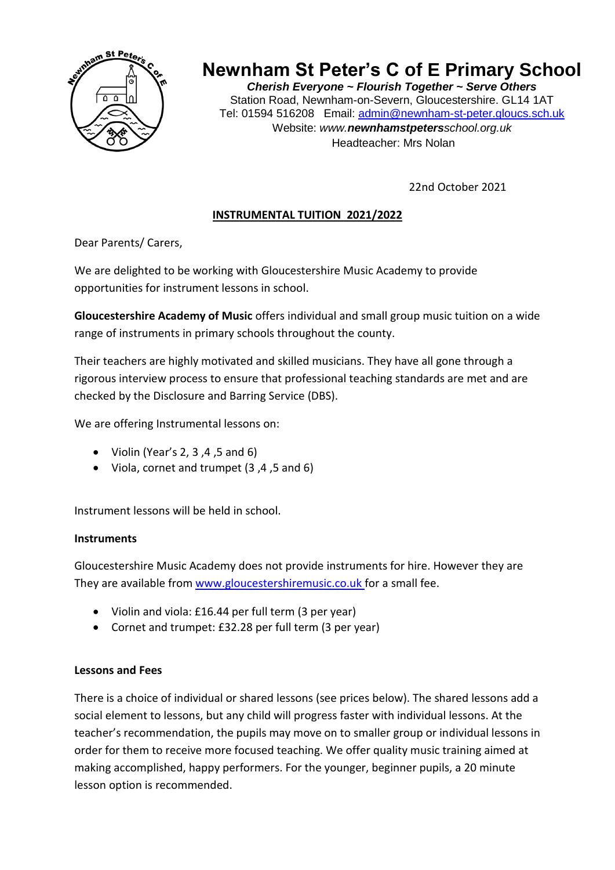

# **Newnham St Peter's C of E Primary School**

*Cherish Everyone ~ Flourish Together ~ Serve Others* Station Road, Newnham-on-Severn, Gloucestershire. GL14 1AT Tel: 01594 516208 Email: [admin@newnham-st-peter.gloucs.sch.uk](mailto:admin@newnham-st-peter.gloucs.sch.uk) Website: *www.newnhamstpetersschool.org.uk* Headteacher: Mrs Nolan

22nd October 2021

## **INSTRUMENTAL TUITION 2021/2022**

Dear Parents/ Carers,

We are delighted to be working with Gloucestershire Music Academy to provide opportunities for instrument lessons in school.

**Gloucestershire Academy of Music** offers individual and small group music tuition on a wide range of instruments in primary schools throughout the county.

Their teachers are highly motivated and skilled musicians. They have all gone through a rigorous interview process to ensure that professional teaching standards are met and are checked by the Disclosure and Barring Service (DBS).

We are offering Instrumental lessons on:

- $\bullet$  Violin (Year's 2, 3, 4, 5 and 6)
- Viola, cornet and trumpet (3 ,4 ,5 and 6)

Instrument lessons will be held in school.

#### **Instruments**

Gloucestershire Music Academy does not provide instruments for hire. However they are They are available from [www.gloucestershiremusic.co.uk](http://www.gloucestershiremusic.co.uk/) for a small fee.

- Violin and viola: £16.44 per full term (3 per year)
- Cornet and trumpet: £32.28 per full term (3 per year)

### **Lessons and Fees**

There is a choice of individual or shared lessons (see prices below). The shared lessons add a social element to lessons, but any child will progress faster with individual lessons. At the teacher's recommendation, the pupils may move on to smaller group or individual lessons in order for them to receive more focused teaching. We offer quality music training aimed at making accomplished, happy performers. For the younger, beginner pupils, a 20 minute lesson option is recommended.